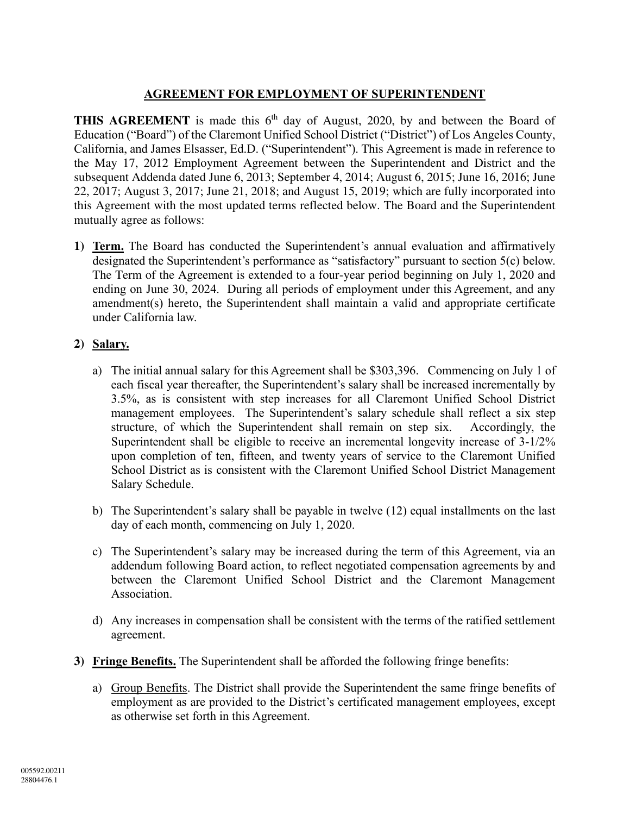## **AGREEMENT FOR EMPLOYMENT OF SUPERINTENDENT**

**THIS AGREEMENT** is made this 6<sup>th</sup> day of August, 2020, by and between the Board of Education ("Board") of the Claremont Unified School District ("District") of Los Angeles County, California, and James Elsasser, Ed.D. ("Superintendent"). This Agreement is made in reference to the May 17, 2012 Employment Agreement between the Superintendent and District and the subsequent Addenda dated June 6, 2013; September 4, 2014; August 6, 2015; June 16, 2016; June 22, 2017; August 3, 2017; June 21, 2018; and August 15, 2019; which are fully incorporated into this Agreement with the most updated terms reflected below. The Board and the Superintendent mutually agree as follows:

**1) Term.** The Board has conducted the Superintendent's annual evaluation and affirmatively designated the Superintendent's performance as "satisfactory" pursuant to section 5(c) below. The Term of the Agreement is extended to a four-year period beginning on July 1, 2020 and ending on June 30, 2024. During all periods of employment under this Agreement, and any amendment(s) hereto, the Superintendent shall maintain a valid and appropriate certificate under California law.

# **2) Salary.**

- a) The initial annual salary for this Agreement shall be \$303,396. Commencing on July 1 of each fiscal year thereafter, the Superintendent's salary shall be increased incrementally by 3.5%, as is consistent with step increases for all Claremont Unified School District management employees. The Superintendent's salary schedule shall reflect a six step structure, of which the Superintendent shall remain on step six. Accordingly, the Superintendent shall be eligible to receive an incremental longevity increase of 3-1/2% upon completion of ten, fifteen, and twenty years of service to the Claremont Unified School District as is consistent with the Claremont Unified School District Management Salary Schedule.
- b) The Superintendent's salary shall be payable in twelve (12) equal installments on the last day of each month, commencing on July 1, 2020.
- c) The Superintendent's salary may be increased during the term of this Agreement, via an addendum following Board action, to reflect negotiated compensation agreements by and between the Claremont Unified School District and the Claremont Management Association.
- d) Any increases in compensation shall be consistent with the terms of the ratified settlement agreement.
- **3) Fringe Benefits.** The Superintendent shall be afforded the following fringe benefits:
	- a) Group Benefits. The District shall provide the Superintendent the same fringe benefits of employment as are provided to the District's certificated management employees, except as otherwise set forth in this Agreement.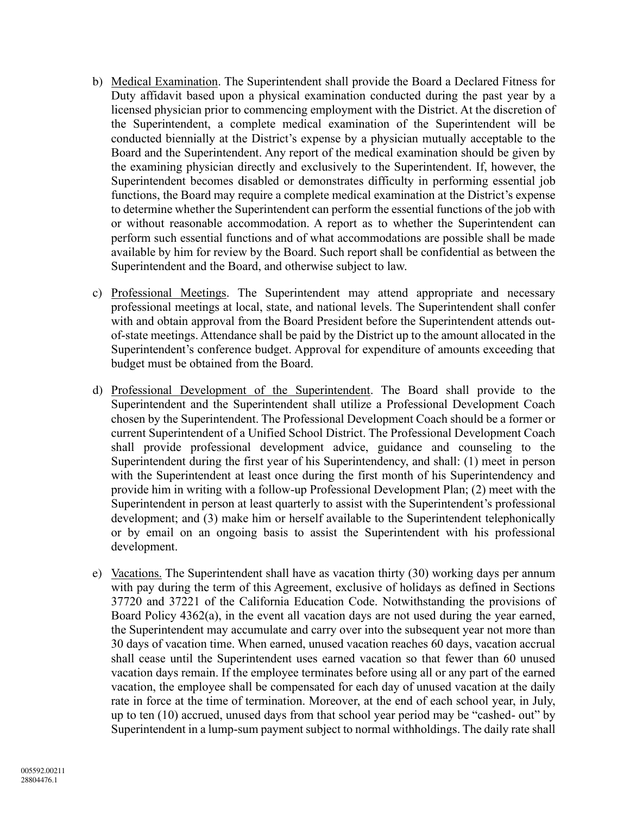- b) Medical Examination. The Superintendent shall provide the Board a Declared Fitness for Duty affidavit based upon a physical examination conducted during the past year by a licensed physician prior to commencing employment with the District. At the discretion of the Superintendent, a complete medical examination of the Superintendent will be conducted biennially at the District's expense by a physician mutually acceptable to the Board and the Superintendent. Any report of the medical examination should be given by the examining physician directly and exclusively to the Superintendent. If, however, the Superintendent becomes disabled or demonstrates difficulty in performing essential job functions, the Board may require a complete medical examination at the District's expense to determine whether the Superintendent can perform the essential functions of the job with or without reasonable accommodation. A report as to whether the Superintendent can perform such essential functions and of what accommodations are possible shall be made available by him for review by the Board. Such report shall be confidential as between the Superintendent and the Board, and otherwise subject to law.
- c) Professional Meetings. The Superintendent may attend appropriate and necessary professional meetings at local, state, and national levels. The Superintendent shall confer with and obtain approval from the Board President before the Superintendent attends outof-state meetings. Attendance shall be paid by the District up to the amount allocated in the Superintendent's conference budget. Approval for expenditure of amounts exceeding that budget must be obtained from the Board.
- d) Professional Development of the Superintendent. The Board shall provide to the Superintendent and the Superintendent shall utilize a Professional Development Coach chosen by the Superintendent. The Professional Development Coach should be a former or current Superintendent of a Unified School District. The Professional Development Coach shall provide professional development advice, guidance and counseling to the Superintendent during the first year of his Superintendency, and shall: (1) meet in person with the Superintendent at least once during the first month of his Superintendency and provide him in writing with a follow-up Professional Development Plan; (2) meet with the Superintendent in person at least quarterly to assist with the Superintendent's professional development; and (3) make him or herself available to the Superintendent telephonically or by email on an ongoing basis to assist the Superintendent with his professional development.
- e) Vacations. The Superintendent shall have as vacation thirty (30) working days per annum with pay during the term of this Agreement, exclusive of holidays as defined in Sections 37720 and 37221 of the California Education Code. Notwithstanding the provisions of Board Policy 4362(a), in the event all vacation days are not used during the year earned, the Superintendent may accumulate and carry over into the subsequent year not more than 30 days of vacation time. When earned, unused vacation reaches 60 days, vacation accrual shall cease until the Superintendent uses earned vacation so that fewer than 60 unused vacation days remain. If the employee terminates before using all or any part of the earned vacation, the employee shall be compensated for each day of unused vacation at the daily rate in force at the time of termination. Moreover, at the end of each school year, in July, up to ten (10) accrued, unused days from that school year period may be "cashed- out" by Superintendent in a lump-sum payment subject to normal withholdings. The daily rate shall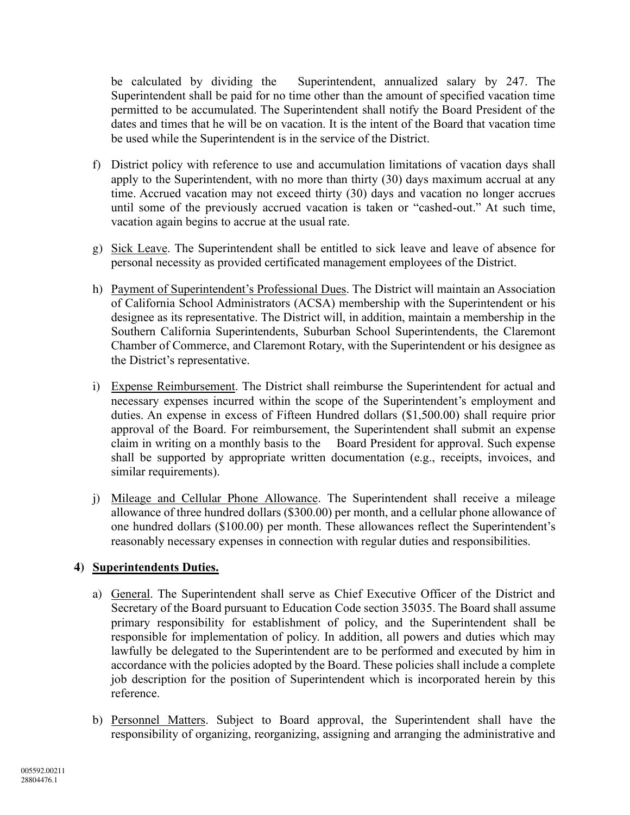be calculated by dividing the Superintendent, annualized salary by 247. The Superintendent shall be paid for no time other than the amount of specified vacation time permitted to be accumulated. The Superintendent shall notify the Board President of the dates and times that he will be on vacation. It is the intent of the Board that vacation time be used while the Superintendent is in the service of the District.

- f) District policy with reference to use and accumulation limitations of vacation days shall apply to the Superintendent, with no more than thirty (30) days maximum accrual at any time. Accrued vacation may not exceed thirty (30) days and vacation no longer accrues until some of the previously accrued vacation is taken or "cashed-out." At such time, vacation again begins to accrue at the usual rate.
- g) Sick Leave. The Superintendent shall be entitled to sick leave and leave of absence for personal necessity as provided certificated management employees of the District.
- h) Payment of Superintendent's Professional Dues. The District will maintain an Association of California School Administrators (ACSA) membership with the Superintendent or his designee as its representative. The District will, in addition, maintain a membership in the Southern California Superintendents, Suburban School Superintendents, the Claremont Chamber of Commerce, and Claremont Rotary, with the Superintendent or his designee as the District's representative.
- i) Expense Reimbursement. The District shall reimburse the Superintendent for actual and necessary expenses incurred within the scope of the Superintendent's employment and duties. An expense in excess of Fifteen Hundred dollars (\$1,500.00) shall require prior approval of the Board. For reimbursement, the Superintendent shall submit an expense claim in writing on a monthly basis to the Board President for approval. Such expense shall be supported by appropriate written documentation (e.g., receipts, invoices, and similar requirements).
- j) Mileage and Cellular Phone Allowance. The Superintendent shall receive a mileage allowance of three hundred dollars (\$300.00) per month, and a cellular phone allowance of one hundred dollars (\$100.00) per month. These allowances reflect the Superintendent's reasonably necessary expenses in connection with regular duties and responsibilities.

### **4) Superintendents Duties.**

- a) General. The Superintendent shall serve as Chief Executive Officer of the District and Secretary of the Board pursuant to Education Code section 35035. The Board shall assume primary responsibility for establishment of policy, and the Superintendent shall be responsible for implementation of policy. In addition, all powers and duties which may lawfully be delegated to the Superintendent are to be performed and executed by him in accordance with the policies adopted by the Board. These policies shall include a complete job description for the position of Superintendent which is incorporated herein by this reference.
- b) Personnel Matters. Subject to Board approval, the Superintendent shall have the responsibility of organizing, reorganizing, assigning and arranging the administrative and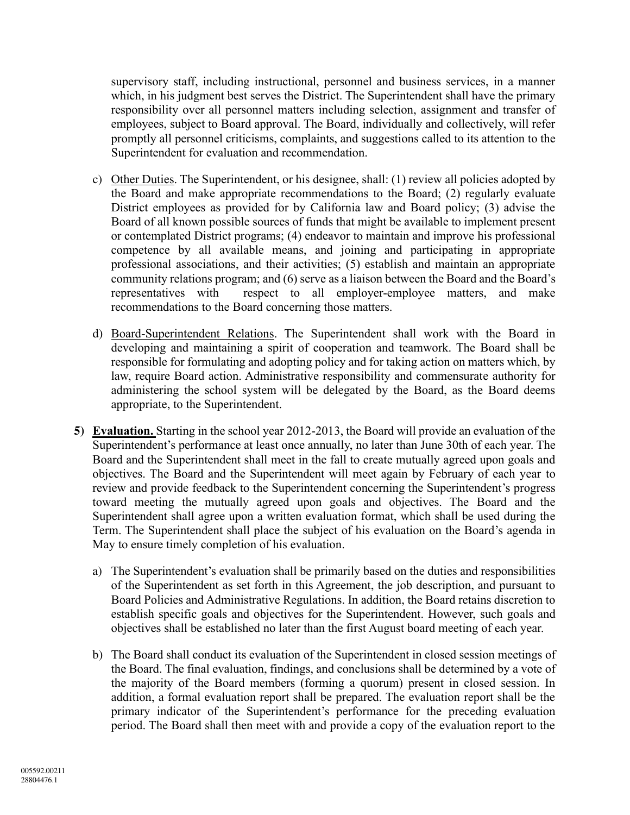supervisory staff, including instructional, personnel and business services, in a manner which, in his judgment best serves the District. The Superintendent shall have the primary responsibility over all personnel matters including selection, assignment and transfer of employees, subject to Board approval. The Board, individually and collectively, will refer promptly all personnel criticisms, complaints, and suggestions called to its attention to the Superintendent for evaluation and recommendation.

- c) Other Duties. The Superintendent, or his designee, shall: (1) review all policies adopted by the Board and make appropriate recommendations to the Board; (2) regularly evaluate District employees as provided for by California law and Board policy; (3) advise the Board of all known possible sources of funds that might be available to implement present or contemplated District programs; (4) endeavor to maintain and improve his professional competence by all available means, and joining and participating in appropriate professional associations, and their activities; (5) establish and maintain an appropriate community relations program; and (6) serve as a liaison between the Board and the Board's representatives with respect to all employer-employee matters, and make recommendations to the Board concerning those matters.
- d) Board-Superintendent Relations. The Superintendent shall work with the Board in developing and maintaining a spirit of cooperation and teamwork. The Board shall be responsible for formulating and adopting policy and for taking action on matters which, by law, require Board action. Administrative responsibility and commensurate authority for administering the school system will be delegated by the Board, as the Board deems appropriate, to the Superintendent.
- **5) Evaluation.** Starting in the school year 2012-2013, the Board will provide an evaluation of the Superintendent's performance at least once annually, no later than June 30th of each year. The Board and the Superintendent shall meet in the fall to create mutually agreed upon goals and objectives. The Board and the Superintendent will meet again by February of each year to review and provide feedback to the Superintendent concerning the Superintendent's progress toward meeting the mutually agreed upon goals and objectives. The Board and the Superintendent shall agree upon a written evaluation format, which shall be used during the Term. The Superintendent shall place the subject of his evaluation on the Board's agenda in May to ensure timely completion of his evaluation.
	- a) The Superintendent's evaluation shall be primarily based on the duties and responsibilities of the Superintendent as set forth in this Agreement, the job description, and pursuant to Board Policies and Administrative Regulations. In addition, the Board retains discretion to establish specific goals and objectives for the Superintendent. However, such goals and objectives shall be established no later than the first August board meeting of each year.
	- b) The Board shall conduct its evaluation of the Superintendent in closed session meetings of the Board. The final evaluation, findings, and conclusions shall be determined by a vote of the majority of the Board members (forming a quorum) present in closed session. In addition, a formal evaluation report shall be prepared. The evaluation report shall be the primary indicator of the Superintendent's performance for the preceding evaluation period. The Board shall then meet with and provide a copy of the evaluation report to the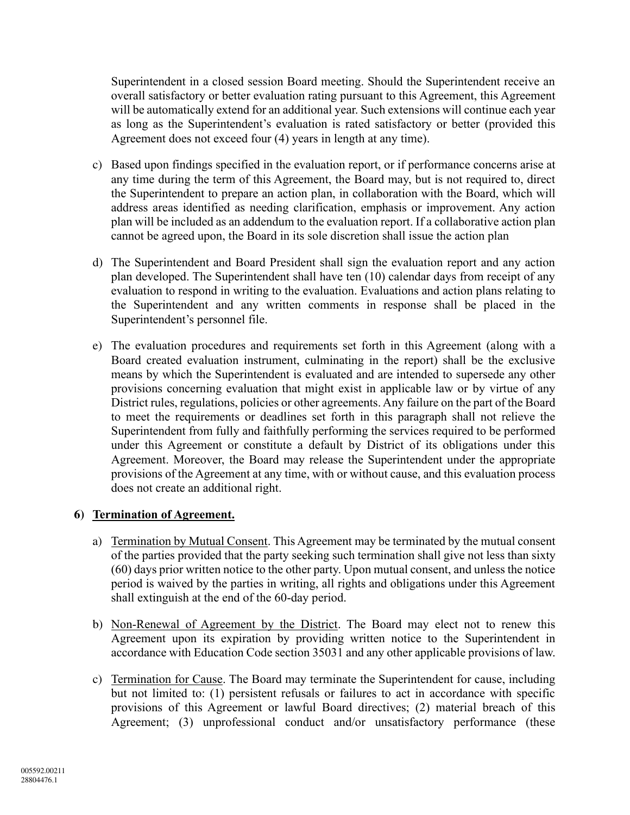Superintendent in a closed session Board meeting. Should the Superintendent receive an overall satisfactory or better evaluation rating pursuant to this Agreement, this Agreement will be automatically extend for an additional year. Such extensions will continue each year as long as the Superintendent's evaluation is rated satisfactory or better (provided this Agreement does not exceed four (4) years in length at any time).

- c) Based upon findings specified in the evaluation report, or if performance concerns arise at any time during the term of this Agreement, the Board may, but is not required to, direct the Superintendent to prepare an action plan, in collaboration with the Board, which will address areas identified as needing clarification, emphasis or improvement. Any action plan will be included as an addendum to the evaluation report. If a collaborative action plan cannot be agreed upon, the Board in its sole discretion shall issue the action plan
- d) The Superintendent and Board President shall sign the evaluation report and any action plan developed. The Superintendent shall have ten (10) calendar days from receipt of any evaluation to respond in writing to the evaluation. Evaluations and action plans relating to the Superintendent and any written comments in response shall be placed in the Superintendent's personnel file.
- e) The evaluation procedures and requirements set forth in this Agreement (along with a Board created evaluation instrument, culminating in the report) shall be the exclusive means by which the Superintendent is evaluated and are intended to supersede any other provisions concerning evaluation that might exist in applicable law or by virtue of any District rules, regulations, policies or other agreements. Any failure on the part of the Board to meet the requirements or deadlines set forth in this paragraph shall not relieve the Superintendent from fully and faithfully performing the services required to be performed under this Agreement or constitute a default by District of its obligations under this Agreement. Moreover, the Board may release the Superintendent under the appropriate provisions of the Agreement at any time, with or without cause, and this evaluation process does not create an additional right.

### **6) Termination of Agreement.**

- a) Termination by Mutual Consent. This Agreement may be terminated by the mutual consent of the parties provided that the party seeking such termination shall give not less than sixty (60) days prior written notice to the other party. Upon mutual consent, and unless the notice period is waived by the parties in writing, all rights and obligations under this Agreement shall extinguish at the end of the 60-day period.
- b) Non-Renewal of Agreement by the District. The Board may elect not to renew this Agreement upon its expiration by providing written notice to the Superintendent in accordance with Education Code section 35031 and any other applicable provisions of law.
- c) Termination for Cause. The Board may terminate the Superintendent for cause, including but not limited to: (1) persistent refusals or failures to act in accordance with specific provisions of this Agreement or lawful Board directives; (2) material breach of this Agreement; (3) unprofessional conduct and/or unsatisfactory performance (these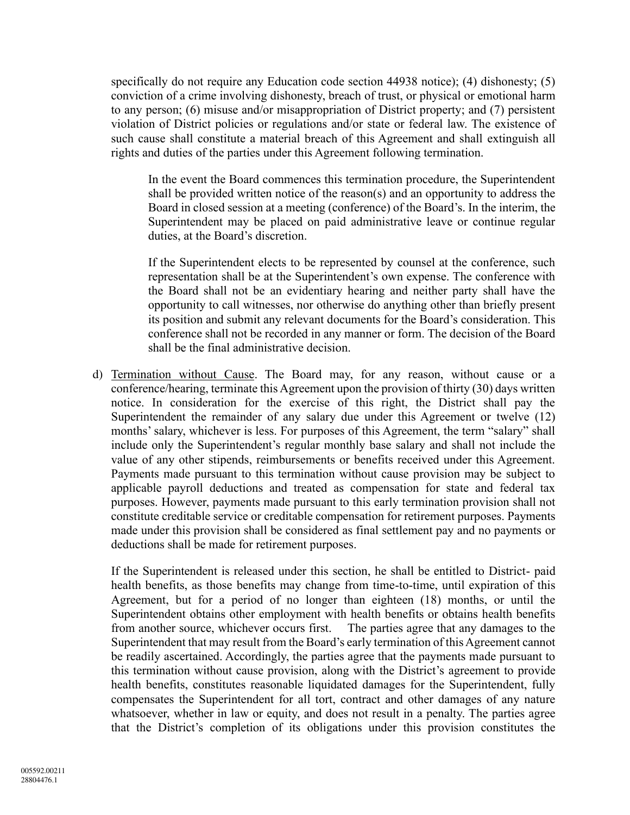specifically do not require any Education code section 44938 notice); (4) dishonesty; (5) conviction of a crime involving dishonesty, breach of trust, or physical or emotional harm to any person; (6) misuse and/or misappropriation of District property; and (7) persistent violation of District policies or regulations and/or state or federal law. The existence of such cause shall constitute a material breach of this Agreement and shall extinguish all rights and duties of the parties under this Agreement following termination.

In the event the Board commences this termination procedure, the Superintendent shall be provided written notice of the reason(s) and an opportunity to address the Board in closed session at a meeting (conference) of the Board's. In the interim, the Superintendent may be placed on paid administrative leave or continue regular duties, at the Board's discretion.

If the Superintendent elects to be represented by counsel at the conference, such representation shall be at the Superintendent's own expense. The conference with the Board shall not be an evidentiary hearing and neither party shall have the opportunity to call witnesses, nor otherwise do anything other than briefly present its position and submit any relevant documents for the Board's consideration. This conference shall not be recorded in any manner or form. The decision of the Board shall be the final administrative decision.

d) Termination without Cause. The Board may, for any reason, without cause or a conference/hearing, terminate this Agreement upon the provision of thirty (30) days written notice. In consideration for the exercise of this right, the District shall pay the Superintendent the remainder of any salary due under this Agreement or twelve (12) months' salary, whichever is less. For purposes of this Agreement, the term "salary" shall include only the Superintendent's regular monthly base salary and shall not include the value of any other stipends, reimbursements or benefits received under this Agreement. Payments made pursuant to this termination without cause provision may be subject to applicable payroll deductions and treated as compensation for state and federal tax purposes. However, payments made pursuant to this early termination provision shall not constitute creditable service or creditable compensation for retirement purposes. Payments made under this provision shall be considered as final settlement pay and no payments or deductions shall be made for retirement purposes.

If the Superintendent is released under this section, he shall be entitled to District- paid health benefits, as those benefits may change from time-to-time, until expiration of this Agreement, but for a period of no longer than eighteen (18) months, or until the Superintendent obtains other employment with health benefits or obtains health benefits from another source, whichever occurs first. The parties agree that any damages to the Superintendent that may result from the Board's early termination of this Agreement cannot be readily ascertained. Accordingly, the parties agree that the payments made pursuant to this termination without cause provision, along with the District's agreement to provide health benefits, constitutes reasonable liquidated damages for the Superintendent, fully compensates the Superintendent for all tort, contract and other damages of any nature whatsoever, whether in law or equity, and does not result in a penalty. The parties agree that the District's completion of its obligations under this provision constitutes the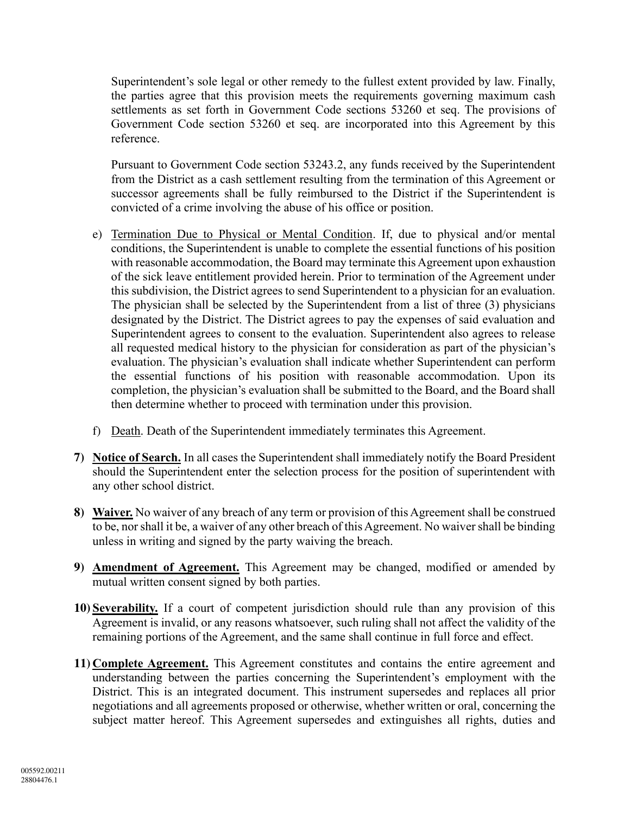Superintendent's sole legal or other remedy to the fullest extent provided by law. Finally, the parties agree that this provision meets the requirements governing maximum cash settlements as set forth in Government Code sections 53260 et seq. The provisions of Government Code section 53260 et seq. are incorporated into this Agreement by this reference.

Pursuant to Government Code section 53243.2, any funds received by the Superintendent from the District as a cash settlement resulting from the termination of this Agreement or successor agreements shall be fully reimbursed to the District if the Superintendent is convicted of a crime involving the abuse of his office or position.

- e) Termination Due to Physical or Mental Condition. If, due to physical and/or mental conditions, the Superintendent is unable to complete the essential functions of his position with reasonable accommodation, the Board may terminate this Agreement upon exhaustion of the sick leave entitlement provided herein. Prior to termination of the Agreement under this subdivision, the District agrees to send Superintendent to a physician for an evaluation. The physician shall be selected by the Superintendent from a list of three (3) physicians designated by the District. The District agrees to pay the expenses of said evaluation and Superintendent agrees to consent to the evaluation. Superintendent also agrees to release all requested medical history to the physician for consideration as part of the physician's evaluation. The physician's evaluation shall indicate whether Superintendent can perform the essential functions of his position with reasonable accommodation. Upon its completion, the physician's evaluation shall be submitted to the Board, and the Board shall then determine whether to proceed with termination under this provision.
- f) Death. Death of the Superintendent immediately terminates this Agreement.
- **7) Notice of Search.** In all cases the Superintendent shall immediately notify the Board President should the Superintendent enter the selection process for the position of superintendent with any other school district.
- **8) Waiver.** No waiver of any breach of any term or provision of this Agreement shall be construed to be, nor shall it be, a waiver of any other breach of this Agreement. No waiver shall be binding unless in writing and signed by the party waiving the breach.
- **9) Amendment of Agreement.** This Agreement may be changed, modified or amended by mutual written consent signed by both parties.
- **10) Severability.** If a court of competent jurisdiction should rule than any provision of this Agreement is invalid, or any reasons whatsoever, such ruling shall not affect the validity of the remaining portions of the Agreement, and the same shall continue in full force and effect.
- **11) Complete Agreement.** This Agreement constitutes and contains the entire agreement and understanding between the parties concerning the Superintendent's employment with the District. This is an integrated document. This instrument supersedes and replaces all prior negotiations and all agreements proposed or otherwise, whether written or oral, concerning the subject matter hereof. This Agreement supersedes and extinguishes all rights, duties and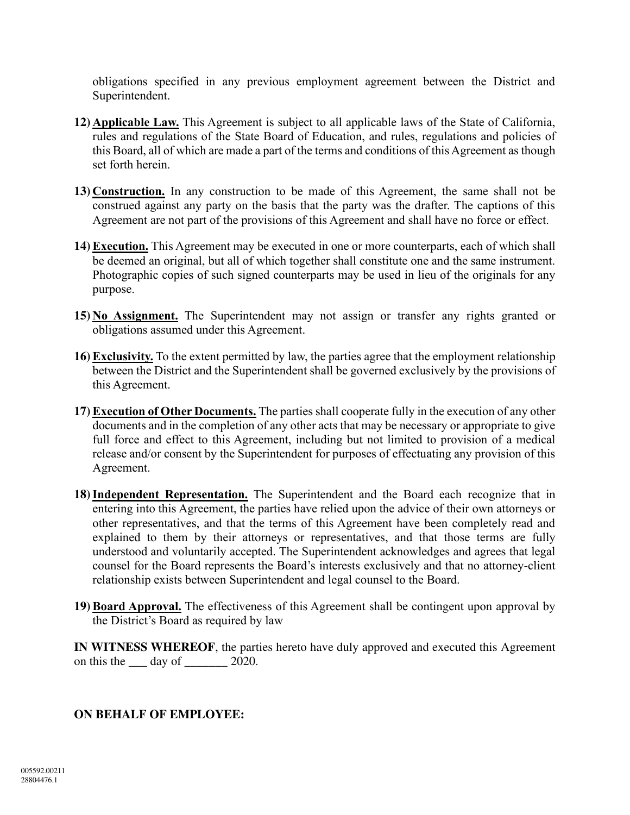obligations specified in any previous employment agreement between the District and Superintendent.

- **12) Applicable Law.** This Agreement is subject to all applicable laws of the State of California, rules and regulations of the State Board of Education, and rules, regulations and policies of this Board, all of which are made a part of the terms and conditions of this Agreement as though set forth herein.
- **13) Construction.** In any construction to be made of this Agreement, the same shall not be construed against any party on the basis that the party was the drafter. The captions of this Agreement are not part of the provisions of this Agreement and shall have no force or effect.
- **14) Execution.** This Agreement may be executed in one or more counterparts, each of which shall be deemed an original, but all of which together shall constitute one and the same instrument. Photographic copies of such signed counterparts may be used in lieu of the originals for any purpose.
- **15) No Assignment.** The Superintendent may not assign or transfer any rights granted or obligations assumed under this Agreement.
- **16) Exclusivity.** To the extent permitted by law, the parties agree that the employment relationship between the District and the Superintendent shall be governed exclusively by the provisions of this Agreement.
- **17) Execution of Other Documents.** The parties shall cooperate fully in the execution of any other documents and in the completion of any other acts that may be necessary or appropriate to give full force and effect to this Agreement, including but not limited to provision of a medical release and/or consent by the Superintendent for purposes of effectuating any provision of this Agreement.
- **18)Independent Representation.** The Superintendent and the Board each recognize that in entering into this Agreement, the parties have relied upon the advice of their own attorneys or other representatives, and that the terms of this Agreement have been completely read and explained to them by their attorneys or representatives, and that those terms are fully understood and voluntarily accepted. The Superintendent acknowledges and agrees that legal counsel for the Board represents the Board's interests exclusively and that no attorney-client relationship exists between Superintendent and legal counsel to the Board.
- **19) Board Approval.** The effectiveness of this Agreement shall be contingent upon approval by the District's Board as required by law

**IN WITNESS WHEREOF**, the parties hereto have duly approved and executed this Agreement on this the  $\_\_\_$  day of  $\_\_\_\_$  2020.

### **ON BEHALF OF EMPLOYEE:**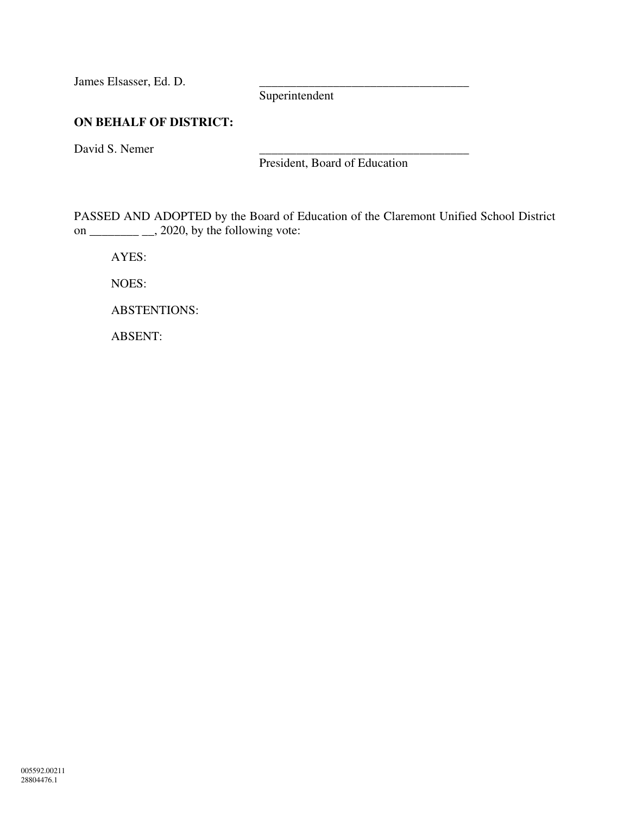James Elsasser, Ed. D.

Superintendent

# **ON BEHALF OF DISTRICT:**

David S. Nemer

President, Board of Education

PASSED AND ADOPTED by the Board of Education of the Claremont Unified School District on  $\frac{\ }{\ }$ , 2020, by the following vote:

AYES:

NOES:

ABSTENTIONS:

ABSENT: